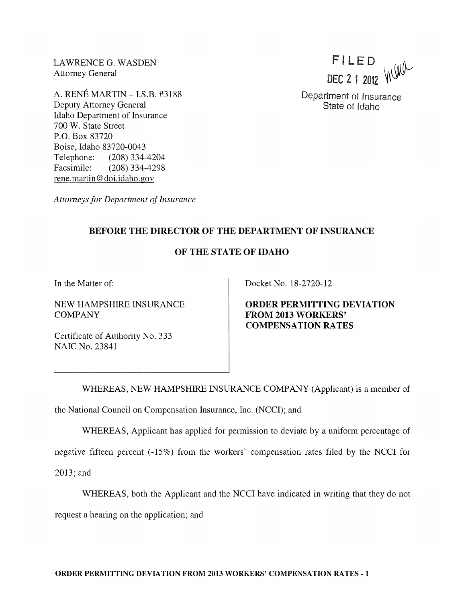LAWRENCE G. WASDEN Attorney General

A. RENE MARTIN - I.S.B. #3188 Deputy Attorney General Idaho Department of Insurance 700 W. State Street P.O. Box 83720 Boise, Idaho 83720-0043 Telephone: (208) 334-4204 Facsimile: (208) 334-4298 rene.martin@doi.idaho.gov

FILED DEC 2 1 2012 WILL

Department of Insurance State of Idaho

*Attorneys for Department of Insurance* 

## BEFORE THE DIRECTOR OF THE DEPARTMENT OF INSURANCE

## OF THE STATE OF IDAHO

In the Matter of:

NEW HAMPSHIRE INSURANCE COMPANY

Certificate of Authority No. 333 NAIC No. 23841

Docket No. 18-2720-12

ORDER PERMITTING DEVIATION FROM 2013 WORKERS' COMPENSATION RATES

WHEREAS, NEW HAMPSHIRE INSURANCE COMPANY (Applicant) is a member of the National Council on Compensation Insurance, Inc. (NCCI); and

WHEREAS, Applicant has applied for permission to deviate by a uniform percentage of

negative fifteen percent (-15%) from the workers' compensation rates filed by the NCCI for

2013; and

WHEREAS, both the Applicant and the NCCI have indicated in writing that they do not

request a hearing on the application; and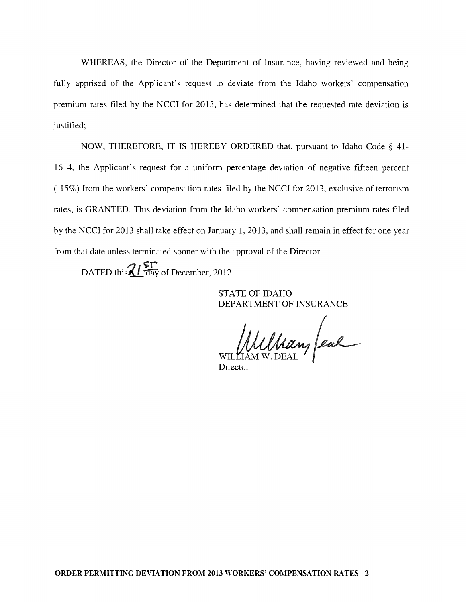WHEREAS, the Director of the Department of Insurance, having reviewed and being fully apprised of the Applicant's request to deviate from the Idaho workers' compensation premium rates filed by the NCCI for 2013, has determined that the requested rate deviation is justified;

NOW, THEREFORE, IT IS HEREBY ORDERED that, pursuant to Idaho Code § 41- 1614, the Applicant's request for a uniform percentage deviation of negative fifteen percent (-15%) from the workers' compensation rates filed by the NCCI for 2013, exclusive of terrorism rates, is GRANTED. This deviation from the Idaho workers' compensation premium rates filed by the NCCI for 2013 shall take effect on January 1,2013, and shall remain in effect for one year from that date unless terminated sooner with the approval of the Director.

DATED this  $Z/L$   $\frac{5}{\sqrt{2}}$  of December, 2012.

STATE OF IDAHO DEPARTMENT OF INSURANCE

Whan feal

Director